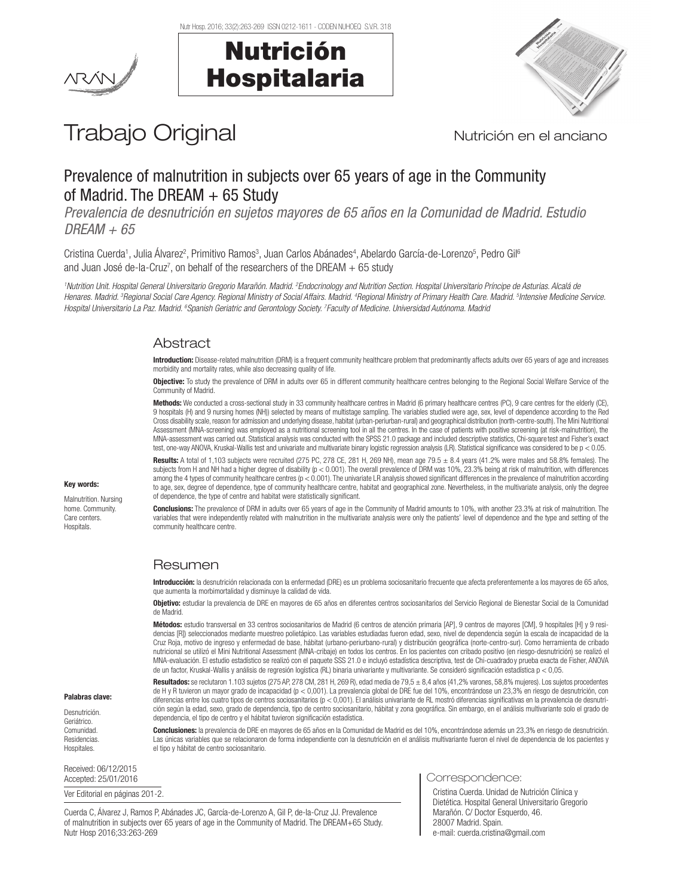Nutr Hosp. 2016; 33(2):263-269 ISSN 0212-1611 - CODEN NUHOEQ S.V.R. 318

Nutrición

Hospitalaria





# Trabajo Original Nutrición en el anciano

# Prevalence of malnutrition in subjects over 65 years of age in the Community of Madrid. The DREAM  $+65$  Study

*Prevalencia de desnutrición en sujetos mayores de 65 años en la Comunidad de Madrid. Estudio DREAM + 65*

Cristina Cuerda<sup>1</sup>, Julia Álvarez<sup>2</sup>, Primitivo Ramos<sup>3</sup>, Juan Carlos Abánades<sup>4</sup>, Abelardo García-de-Lorenzo<sup>5</sup>, Pedro Gil<sup>6</sup> and Juan José de-la-Cruz<sup>7</sup>, on behalf of the researchers of the DREAM + 65 study

*1 Nutrition Unit. Hospital General Universitario Gregorio Marañón. Madrid. 2 Endocrinology and Nutrition Section. Hospital Universitario Príncipe de Asturias. Alcalá de Henares. Madrid. 3 Regional Social Care Agency. Regional Ministry of Social Affairs. Madrid. 4 Regional Ministry of Primary Health Care. Madrid. 5 Intensive Medicine Service. Hospital Universitario La Paz. Madrid. 6 Spanish Geriatric and Gerontology Society. 7 Faculty of Medicine. Universidad Autónoma. Madrid*

# **Abstract**

Introduction: Disease-related malnutrition (DRM) is a frequent community healthcare problem that predominantly affects adults over 65 years of age and increases morbidity and mortality rates, while also decreasing quality of life.

Objective: To study the prevalence of DRM in adults over 65 in different community healthcare centres belonging to the Regional Social Welfare Service of the Community of Madrid.

Methods: We conducted a cross-sectional study in 33 community healthcare centres in Madrid (6 primary healthcare centres (PC), 9 care centres for the elderly (CE), 9 hospitals (H) and 9 nursing homes (NH)) selected by means of multistage sampling. The variables studied were age, sex, level of dependence according to the Red Cross disability scale, reason for admission and underlying disease, habitat (urban-periurban-rural) and geographical distribution (north-centre-south). The Mini Nutritional Assessment (MNA-screening) was employed as a nutritional screening tool in all the centres. In the case of patients with positive screening (at risk-malnutrition), the MNA-assessment was carried out. Statistical analysis was conducted with the SPSS 21.0 package and included descriptive statistics, Chi-square test and Fisher's exact test, one-way ANOVA, Kruskal-Wallis test and univariate and multivariate binary logistic regression analysis (LR). Statistical significance was considered to be p < 0.05.

Results: A total of 1,103 subjects were recruited (275 PC, 278 CE, 281 H, 269 NH), mean age 79.5  $\pm$  8.4 years (41.2% were males and 58.8% females). The subjects from H and NH had a higher degree of disability ( $p < 0.001$ ). The overall prevalence of DRM was 10%, 23.3% being at risk of malnutrition, with differences among the 4 types of community healthcare centres ( $p < 0.001$ ). The univariate LR analysis showed significant differences in the prevalence of malnutrition according to age, sex, degree of dependence, type of community healthcare centre, habitat and geographical zone. Nevertheless, in the multivariate analysis, only the degree of dependence, the type of centre and habitat were statistically significant.

Conclusions: The prevalence of DRM in adults over 65 years of age in the Community of Madrid amounts to 10%, with another 23.3% at risk of malnutrition. The variables that were independently related with malnutrition in the multivariate analysis were only the patients' level of dependence and the type and setting of the community healthcare centre.

# Resumen

Introducción: la desnutrición relacionada con la enfermedad (DRE) es un problema sociosanitario frecuente que afecta preferentemente a los mayores de 65 años, que aumenta la morbimortalidad y disminuye la calidad de vida.

Objetivo: estudiar la prevalencia de DRE en mayores de 65 años en diferentes centros sociosanitarios del Servicio Regional de Bienestar Social de la Comunidad de Madrid.

Métodos: estudio transversal en 33 centros sociosanitarios de Madrid (6 centros de atención primaria [AP], 9 centros de mayores [CM], 9 hospitales [H] y 9 residencias [R]) seleccionados mediante muestreo polietápico. Las variables estudiadas fueron edad, sexo, nivel de dependencia según la escala de incapacidad de la Cruz Roja, motivo de ingreso y enfermedad de base, hábitat (urbano-periurbano-rural) y distribución geográfica (norte-centro-sur). Como herramienta de cribado nutricional se utilizó el Mini Nutritional Assessment (MNA-cribaje) en todos los centros. En los pacientes con cribado positivo (en riesgo-desnutrición) se realizó el MNA-evaluación. El estudio estadístico se realizó con el paquete SSS 21.0 e incluyó estadística descriptiva, test de Chi-cuadrado y prueba exacta de Fisher, ANOVA de un factor, Kruskal-Wallis y análisis de regresión logística (RL) binaria univariante y multivariante. Se consideró significación estadística p < 0,05.

Resultados: se reclutaron 1.103 sujetos (275 AP, 278 CM, 281 H, 269 R), edad media de 79,5 ± 8,4 años (41,2% varones, 58,8% mujeres). Los sujetos procedentes de H y R tuvieron un mayor grado de incapacidad (p < 0,001). La prevalencia global de DRE fue del 10%, encontrándose un 23,3% en riesgo de desnutrición, con diferencias entre los cuatro tipos de centros sociosanitarios (p < 0,001). El análisis univariante de RL mostró diferencias significativas en la prevalencia de desnutrición según la edad, sexo, grado de dependencia, tipo de centro sociosanitario, hábitat y zona geográfica. Sin embargo, en el análisis multivariante solo el grado de dependencia, el tipo de centro y el hábitat tuvieron significación estadística.

Conclusiones: la prevalencia de DRE en mayores de 65 años en la Comunidad de Madrid es del 10%, encontrándose además un 23,3% en riesgo de desnutrición. Las únicas variables que se relacionaron de forma independiente con la desnutrición en el análisis multivariante fueron el nivel de dependencia de los pacientes y el tipo y hábitat de centro sociosanitario.

Received: 06/12/2015

Palabras clave: Desnutrición. Geriátrico. **Comunidad** Residencias. Hospitales.

Ver Editorial en páginas 201-2.

Cuerda C, Álvarez J, Ramos P, Abánades JC, García-de-Lorenzo A, Gil P, de-la-Cruz JJ. Prevalence of malnutrition in subjects over 65 years of age in the Community of Madrid. The DREAM+65 Study. Nutr Hosp 2016;33:263-269

Accepted: 25/01/2016 **Correspondence:** 25/01/2016

Cristina Cuerda. Unidad de Nutrición Clínica y Dietética. Hospital General Universitario Gregorio Marañón. C/ Doctor Esquerdo, 46. 28007 Madrid. Spain. e-mail: cuerda.cristina@gmail.com

## Key words:

Malnutrition. Nursing home. Community. Care centers. **Hospitals**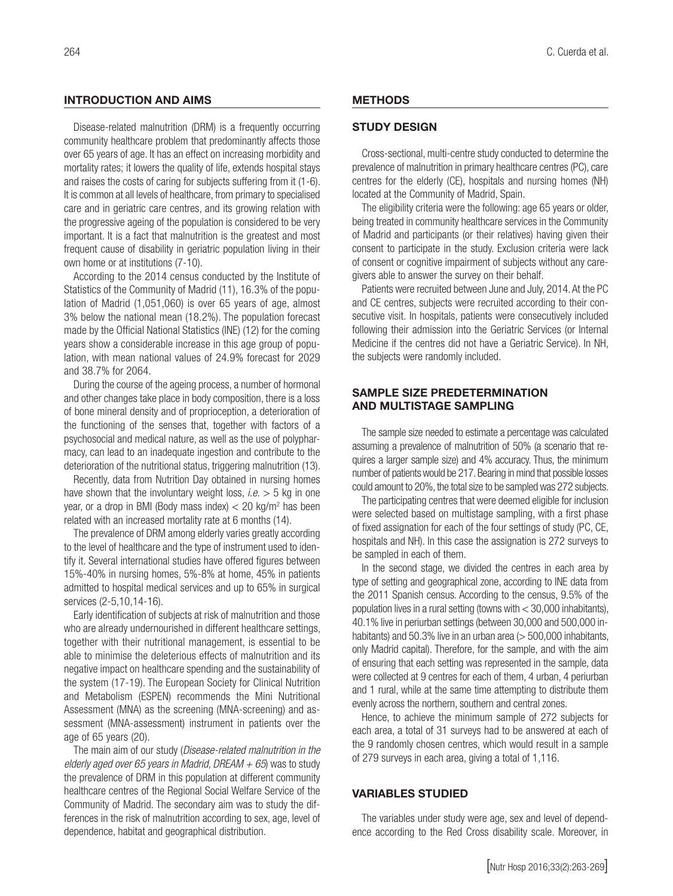# INTRODUCTION AND AIMS

Disease-related malnutrition (DRM) is a frequently occurring community healthcare problem that predominantly affects those over 65 years of age. It has an effect on increasing morbidity and mortality rates; it lowers the quality of life, extends hospital stays and raises the costs of caring for subjects suffering from it (1-6). It is common at all levels of healthcare, from primary to specialised care and in geriatric care centres, and its growing relation with the progressive ageing of the population is considered to be very important. It is a fact that malnutrition is the greatest and most frequent cause of disability in geriatric population living in their own home or at institutions (7-10).

According to the 2014 census conducted by the Institute of Statistics of the Community of Madrid (11), 16.3% of the population of Madrid (1,051,060) is over 65 years of age, almost 3% below the national mean (18.2%). The population forecast made by the Official National Statistics (INE) (12) for the coming years show a considerable increase in this age group of population, with mean national values of 24.9% forecast for 2029 and 38.7% for 2064.

During the course of the ageing process, a number of hormonal and other changes take place in body composition, there is a loss of bone mineral density and of proprioception, a deterioration of the functioning of the senses that, together with factors of a psychosocial and medical nature, as well as the use of polypharmacy, can lead to an inadequate ingestion and contribute to the deterioration of the nutritional status, triggering malnutrition (13).

Recently, data from Nutrition Day obtained in nursing homes have shown that the involuntary weight loss, *i.e.* > 5 kg in one year, or a drop in BMI (Body mass index) < 20 kg/m2 has been related with an increased mortality rate at 6 months (14).

The prevalence of DRM among elderly varies greatly according to the level of healthcare and the type of instrument used to identify it. Several international studies have offered figures between 15%-40% in nursing homes, 5%-8% at home, 45% in patients admitted to hospital medical services and up to 65% in surgical services (2-5,10,14-16).

Early identification of subjects at risk of malnutrition and those who are already undernourished in different healthcare settings, together with their nutritional management, is essential to be able to minimise the deleterious effects of malnutrition and its negative impact on healthcare spending and the sustainability of the system (17-19). The European Society for Clinical Nutrition and Metabolism (ESPEN) recommends the Mini Nutritional Assessment (MNA) as the screening (MNA-screening) and assessment (MNA-assessment) instrument in patients over the age of 65 years (20).

The main aim of our study (*Disease-related malnutrition in the elderly aged over 65 years in Madrid, DREAM + 65*) was to study the prevalence of DRM in this population at different community healthcare centres of the Regional Social Welfare Service of the Community of Madrid. The secondary aim was to study the differences in the risk of malnutrition according to sex, age, level of dependence, habitat and geographical distribution.

#### **METHODS**

# STUDY DESIGN

Cross-sectional, multi-centre study conducted to determine the prevalence of malnutrition in primary healthcare centres (PC), care centres for the elderly (CE), hospitals and nursing homes (NH) located at the Community of Madrid, Spain.

The eligibility criteria were the following: age 65 years or older, being treated in community healthcare services in the Community of Madrid and participants (or their relatives) having given their consent to participate in the study. Exclusion criteria were lack of consent or cognitive impairment of subjects without any caregivers able to answer the survey on their behalf.

Patients were recruited between June and July, 2014. At the PC and CE centres, subjects were recruited according to their consecutive visit. In hospitals, patients were consecutively included following their admission into the Geriatric Services (or Internal Medicine if the centres did not have a Geriatric Service). In NH, the subjects were randomly included.

# SAMPLE SIZE PREDETERMINATION AND MULTISTAGE SAMPLING

The sample size needed to estimate a percentage was calculated assuming a prevalence of malnutrition of 50% (a scenario that requires a larger sample size) and 4% accuracy. Thus, the minimum number of patients would be 217. Bearing in mind that possible losses could amount to 20%, the total size to be sampled was 272 subjects.

The participating centres that were deemed eligible for inclusion were selected based on multistage sampling, with a first phase of fixed assignation for each of the four settings of study (PC, CE, hospitals and NH). In this case the assignation is 272 surveys to be sampled in each of them.

In the second stage, we divided the centres in each area by type of setting and geographical zone, according to INE data from the 2011 Spanish census. According to the census, 9.5% of the population lives in a rural setting (towns with < 30,000 inhabitants), 40.1% live in periurban settings (between 30,000 and 500,000 inhabitants) and 50.3% live in an urban area ( $>$  500,000 inhabitants, only Madrid capital). Therefore, for the sample, and with the aim of ensuring that each setting was represented in the sample, data were collected at 9 centres for each of them, 4 urban, 4 periurban and 1 rural, while at the same time attempting to distribute them evenly across the northern, southern and central zones.

Hence, to achieve the minimum sample of 272 subjects for each area, a total of 31 surveys had to be answered at each of the 9 randomly chosen centres, which would result in a sample of 279 surveys in each area, giving a total of 1,116.

## VARIABLES STUDIED

The variables under study were age, sex and level of dependence according to the Red Cross disability scale. Moreover, in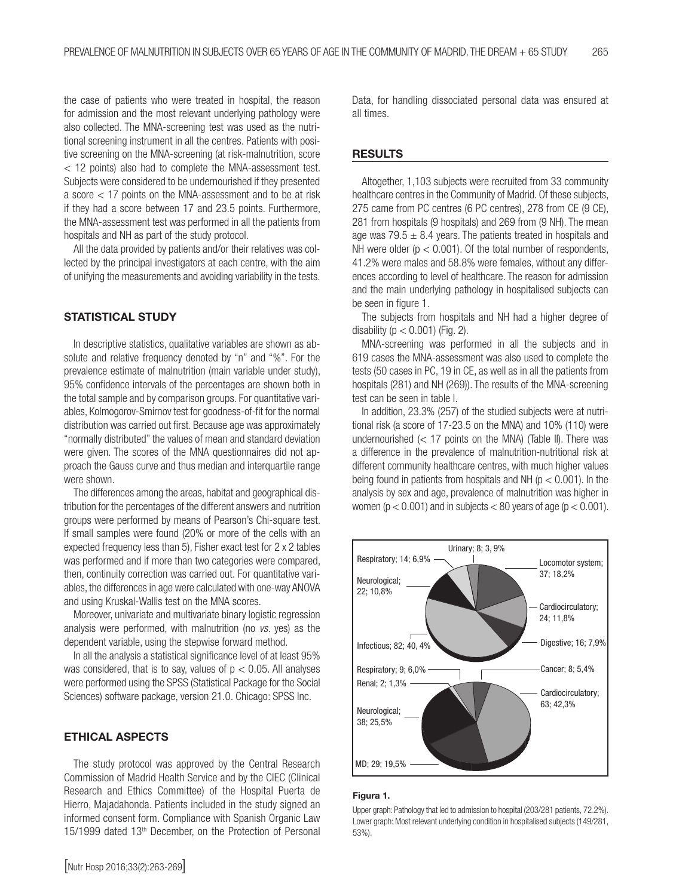the case of patients who were treated in hospital, the reason for admission and the most relevant underlying pathology were also collected. The MNA-screening test was used as the nutritional screening instrument in all the centres. Patients with positive screening on the MNA-screening (at risk-malnutrition, score < 12 points) also had to complete the MNA-assessment test. Subjects were considered to be undernourished if they presented a score < 17 points on the MNA-assessment and to be at risk if they had a score between 17 and 23.5 points. Furthermore, the MNA-assessment test was performed in all the patients from hospitals and NH as part of the study protocol.

All the data provided by patients and/or their relatives was collected by the principal investigators at each centre, with the aim of unifying the measurements and avoiding variability in the tests.

# STATISTICAL STUDY

In descriptive statistics, qualitative variables are shown as absolute and relative frequency denoted by "n" and "%". For the prevalence estimate of malnutrition (main variable under study), 95% confidence intervals of the percentages are shown both in the total sample and by comparison groups. For quantitative variables, Kolmogorov-Smirnov test for goodness-of-fit for the normal distribution was carried out first. Because age was approximately "normally distributed" the values of mean and standard deviation were given. The scores of the MNA questionnaires did not approach the Gauss curve and thus median and interquartile range were shown.

The differences among the areas, habitat and geographical distribution for the percentages of the different answers and nutrition groups were performed by means of Pearson's Chi-square test. If small samples were found (20% or more of the cells with an expected frequency less than 5), Fisher exact test for 2 x 2 tables was performed and if more than two categories were compared, then, continuity correction was carried out. For quantitative variables, the differences in age were calculated with one-way ANOVA and using Kruskal-Wallis test on the MNA scores.

Moreover, univariate and multivariate binary logistic regression analysis were performed, with malnutrition (no *vs.* yes) as the dependent variable, using the stepwise forward method.

In all the analysis a statistical significance level of at least 95% was considered, that is to say, values of  $p < 0.05$ . All analyses were performed using the SPSS (Statistical Package for the Social Sciences) software package, version 21.0. Chicago: SPSS Inc.

# ETHICAL ASPECTS

The study protocol was approved by the Central Research Commission of Madrid Health Service and by the CIEC (Clinical Research and Ethics Committee) of the Hospital Puerta de Hierro, Majadahonda. Patients included in the study signed an informed consent form. Compliance with Spanish Organic Law 15/1999 dated 13<sup>th</sup> December, on the Protection of Personal

[Nutr Hosp 2016;33(2):263-269]

Data, for handling dissociated personal data was ensured at all times.

#### **RESULTS**

Altogether, 1,103 subjects were recruited from 33 community healthcare centres in the Community of Madrid. Of these subjects, 275 came from PC centres (6 PC centres), 278 from CE (9 CE), 281 from hospitals (9 hospitals) and 269 from (9 NH). The mean age was  $79.5 \pm 8.4$  years. The patients treated in hospitals and NH were older ( $p < 0.001$ ). Of the total number of respondents, 41.2% were males and 58.8% were females, without any differences according to level of healthcare. The reason for admission and the main underlying pathology in hospitalised subjects can be seen in figure 1.

The subjects from hospitals and NH had a higher degree of disability ( $p < 0.001$ ) (Fig. 2).

MNA-screening was performed in all the subjects and in 619 cases the MNA-assessment was also used to complete the tests (50 cases in PC, 19 in CE, as well as in all the patients from hospitals (281) and NH (269)). The results of the MNA-screening test can be seen in table I.

In addition, 23.3% (257) of the studied subjects were at nutritional risk (a score of 17-23.5 on the MNA) and 10% (110) were undernourished  $\ll$  17 points on the MNA) (Table II). There was a difference in the prevalence of malnutrition-nutritional risk at different community healthcare centres, with much higher values being found in patients from hospitals and NH ( $p < 0.001$ ). In the analysis by sex and age, prevalence of malnutrition was higher in women ( $p < 0.001$ ) and in subjects  $< 80$  years of age ( $p < 0.001$ ).



#### Figura 1.

Upper graph: Pathology that led to admission to hospital (203/281 patients, 72.2%). Lower graph: Most relevant underlying condition in hospitalised subjects (149/281, 53%).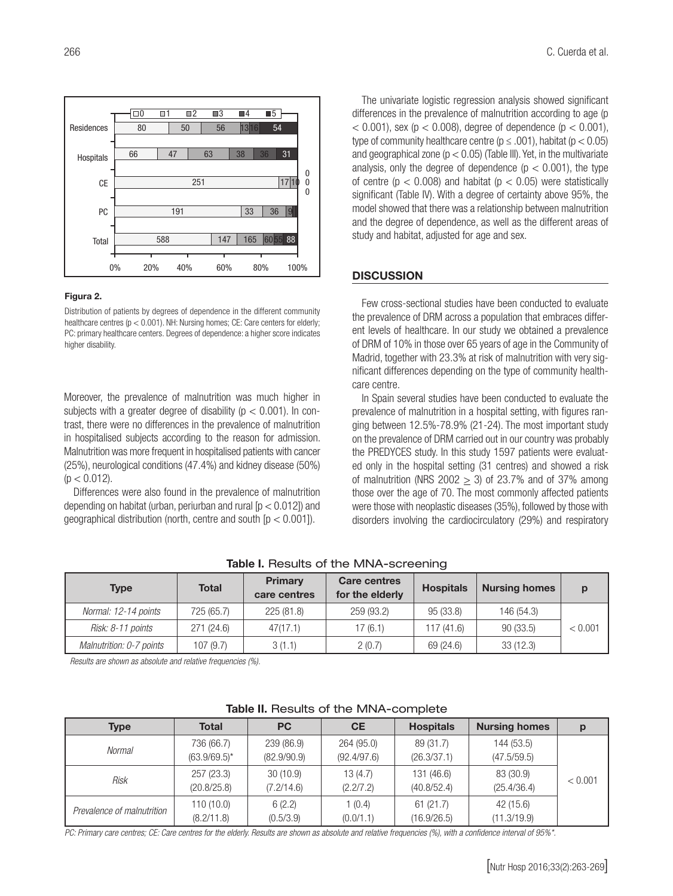

#### Figura 2.

Distribution of patients by degrees of dependence in the different community healthcare centres (p < 0.001). NH: Nursing homes; CE: Care centers for elderly; PC: primary healthcare centers. Degrees of dependence: a higher score indicates higher disability.

Moreover, the prevalence of malnutrition was much higher in subjects with a greater degree of disability ( $p < 0.001$ ). In contrast, there were no differences in the prevalence of malnutrition in hospitalised subjects according to the reason for admission. Malnutrition was more frequent in hospitalised patients with cancer (25%), neurological conditions (47.4%) and kidney disease (50%)  $(p < 0.012)$ .

Differences were also found in the prevalence of malnutrition depending on habitat (urban, periurban and rural  $[p < 0.012]$ ) and geographical distribution (north, centre and south  $[p < 0.001]$ ).

The univariate logistic regression analysis showed significant differences in the prevalence of malnutrition according to age (p  $<$  0.001), sex (p  $<$  0.008), degree of dependence (p  $<$  0.001), type of community healthcare centre ( $p \le .001$ ), habitat ( $p < 0.05$ ) and geographical zone ( $p < 0.05$ ) (Table III). Yet, in the multivariate analysis, only the degree of dependence ( $p < 0.001$ ), the type of centre ( $p < 0.008$ ) and habitat ( $p < 0.05$ ) were statistically significant (Table IV). With a degree of certainty above 95%, the model showed that there was a relationship between malnutrition and the degree of dependence, as well as the different areas of study and habitat, adjusted for age and sex.

#### **DISCUSSION**

Few cross-sectional studies have been conducted to evaluate the prevalence of DRM across a population that embraces different levels of healthcare. In our study we obtained a prevalence of DRM of 10% in those over 65 years of age in the Community of Madrid, together with 23.3% at risk of malnutrition with very significant differences depending on the type of community healthcare centre.

In Spain several studies have been conducted to evaluate the prevalence of malnutrition in a hospital setting, with figures ranging between 12.5%-78.9% (21-24). The most important study on the prevalence of DRM carried out in our country was probably the PREDYCES study. In this study 1597 patients were evaluated only in the hospital setting (31 centres) and showed a risk of malnutrition (NRS 2002  $\geq$  3) of 23.7% and of 37% among those over the age of 70. The most commonly affected patients were those with neoplastic diseases (35%), followed by those with disorders involving the cardiocirculatory (29%) and respiratory

| <b>Type</b>              | <b>Total</b> | <b>Primary</b><br>care centres | <b>Care centres</b><br>for the elderly | <b>Hospitals</b> | <b>Nursing homes</b> | p       |
|--------------------------|--------------|--------------------------------|----------------------------------------|------------------|----------------------|---------|
| Normal: 12-14 points     | 725 (65.7)   | 225 (81.8)                     | 259 (93.2)                             | 95 (33.8)        | 146 (54.3)           |         |
| Risk: 8-11 points        | 271(24.6)    | 47(17.1)                       | 17(6.1)                                | 117 (41.6)       | 90(33.5)             | < 0.001 |
| Malnutrition: 0-7 points | 107(9.7)     | 3(1.1)                         | 2(0.7)                                 | 69 (24.6)        | 33(12.3)             |         |

Table I. Results of the MNA-screening

*Results are shown as absolute and relative frequencies (%).*

| <b>Type</b>                | <b>Total</b>    | <b>PC</b>   | <b>CE</b>   | <b>Hospitals</b> | <b>Nursing homes</b> |         |
|----------------------------|-----------------|-------------|-------------|------------------|----------------------|---------|
| Normal                     | 736 (66.7)      | 239 (86.9)  | 264 (95.0)  | 89 (31.7)        | 144 (53.5)           |         |
|                            | $(63.9/69.5)^*$ | (82.9/90.9) | (92.4/97.6) | (26.3/37.1)      | (47.5/59.5)          |         |
| Risk                       | 257 (23.3)      | 30(10.9)    | 13(4.7)     | 131 (46.6)       | 83 (30.9)            | < 0.001 |
|                            | (20.8/25.8)     | (7.2/14.6)  | (2.2/7.2)   | (40.8/52.4)      | (25.4/36.4)          |         |
| Prevalence of malnutrition | 110(10.0)       | 6(2.2)      | 1(0.4)      | 61(21.7)         | 42 (15.6)            |         |
|                            | (8.2/11.8)      | (0.5/3.9)   | (0.0/1.1)   | (16.9/26.5)      | (11.3/19.9)          |         |

# Table II. Results of the MNA-complete

*PC: Primary care centres; CE: Care centres for the elderly. Results are shown as absolute and relative frequencies (%), with a confidence interval of 95%\*.*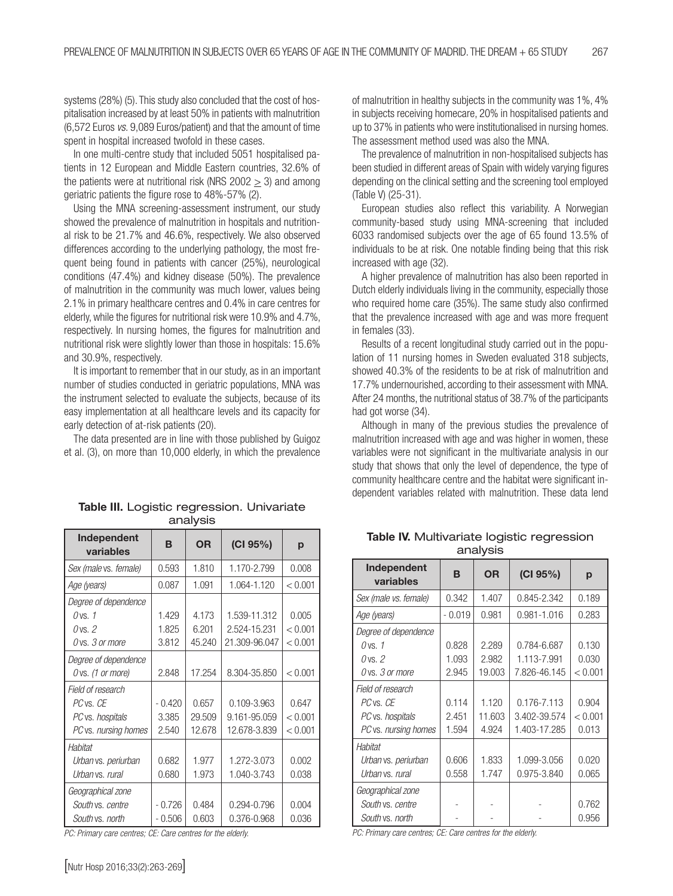systems (28%) (5). This study also concluded that the cost of hospitalisation increased by at least 50% in patients with malnutrition (6,572 Euros *vs.* 9,089 Euros/patient) and that the amount of time spent in hospital increased twofold in these cases.

In one multi-centre study that included 5051 hospitalised patients in 12 European and Middle Eastern countries, 32.6% of the patients were at nutritional risk (NRS 2002 > 3) and among geriatric patients the figure rose to 48%-57% (2).

Using the MNA screening-assessment instrument, our study showed the prevalence of malnutrition in hospitals and nutritional risk to be 21.7% and 46.6%, respectively. We also observed differences according to the underlying pathology, the most frequent being found in patients with cancer (25%), neurological conditions (47.4%) and kidney disease (50%). The prevalence of malnutrition in the community was much lower, values being 2.1% in primary healthcare centres and 0.4% in care centres for elderly, while the figures for nutritional risk were 10.9% and 4.7%, respectively. In nursing homes, the figures for malnutrition and nutritional risk were slightly lower than those in hospitals: 15.6% and 30.9%, respectively.

It is important to remember that in our study, as in an important number of studies conducted in geriatric populations, MNA was the instrument selected to evaluate the subjects, because of its easy implementation at all healthcare levels and its capacity for early detection of at-risk patients (20).

The data presented are in line with those published by Guigoz et al. (3), on more than 10,000 elderly, in which the prevalence

| Independent<br>variables | в        | <b>OR</b> | (CI 95%)      | p       |  |
|--------------------------|----------|-----------|---------------|---------|--|
| Sex (male vs. female)    | 0.593    | 1.810     | 1.170-2.799   | 0.008   |  |
| Age (years)              | 0.087    | 1.091     | 1.064-1.120   | < 0.001 |  |
| Degree of dependence     |          |           |               |         |  |
| $0$ vs. 1                | 1.429    | 4.173     | 1.539-11.312  | 0.005   |  |
| $0$ vs. $2$              | 1.825    | 6.201     | 2.524-15.231  | < 0.001 |  |
| O vs. 3 or more          | 3.812    | 45.240    | 21.309-96.047 | < 0.001 |  |
| Degree of dependence     |          |           |               |         |  |
| O vs. (1 or more)        | 2.848    | 17.254    | 8.304-35.850  | < 0.001 |  |
| Field of research        |          |           |               |         |  |
| PC vs. CE                | $-0.420$ | 0.657     | 0.109-3.963   | 0.647   |  |
| PC vs. hospitals         | 3.385    | 29.509    | 9.161-95.059  | < 0.001 |  |
| PC vs. nursing homes     | 2.540    | 12.678    | 12.678-3.839  | < 0.001 |  |
| Habitat                  |          |           |               |         |  |
| Urban vs. periurban      | 0.682    | 1.977     | 1.272-3.073   | 0.002   |  |
| Urban vs. rural          | 0.680    | 1.973     | 1.040-3.743   | 0.038   |  |
| Geographical zone        |          |           |               |         |  |
| South vs. centre         | $-0.726$ | 0.484     | 0.294-0.796   | 0.004   |  |
| South vs. north          | $-0.506$ | 0.603     | 0.376-0.968   | 0.036   |  |

Table III. Logistic regression. Univariate analysis

*PC: Primary care centres; CE: Care centres for the elderly.*

of malnutrition in healthy subjects in the community was 1%, 4% in subjects receiving homecare, 20% in hospitalised patients and up to 37% in patients who were institutionalised in nursing homes. The assessment method used was also the MNA.

The prevalence of malnutrition in non-hospitalised subjects has been studied in different areas of Spain with widely varying figures depending on the clinical setting and the screening tool employed (Table V) (25-31).

European studies also reflect this variability. A Norwegian community-based study using MNA-screening that included 6033 randomised subjects over the age of 65 found 13.5% of individuals to be at risk. One notable finding being that this risk increased with age (32).

A higher prevalence of malnutrition has also been reported in Dutch elderly individuals living in the community, especially those who required home care (35%). The same study also confirmed that the prevalence increased with age and was more frequent in females (33).

Results of a recent longitudinal study carried out in the population of 11 nursing homes in Sweden evaluated 318 subjects, showed 40.3% of the residents to be at risk of malnutrition and 17.7% undernourished, according to their assessment with MNA. After 24 months, the nutritional status of 38.7% of the participants had got worse (34).

Although in many of the previous studies the prevalence of malnutrition increased with age and was higher in women, these variables were not significant in the multivariate analysis in our study that shows that only the level of dependence, the type of community healthcare centre and the habitat were significant independent variables related with malnutrition. These data lend

| .                        |          |           |              |         |  |
|--------------------------|----------|-----------|--------------|---------|--|
| Independent<br>variables | B        | <b>OR</b> | (CI 95%)     | р       |  |
| Sex (male vs. female)    | 0.342    | 1.407     | 0.845-2.342  | 0.189   |  |
| Age (years)              | $-0.019$ | 0.981     | 0.981-1.016  | 0.283   |  |
| Degree of dependence     |          |           |              |         |  |
| $0$ vs. 1                | 0.828    | 2.289     | 0.784-6.687  | 0.130   |  |
| $0$ vs. $2$              | 1.093    | 2.982     | 1.113-7.991  | 0.030   |  |
| O vs. 3 or more          | 2.945    | 19.003    | 7.826-46.145 | < 0.001 |  |
| Field of research        |          |           |              |         |  |
| PC vs. CE                | 0.114    | 1.120     | 0.176-7.113  | 0.904   |  |
| PC vs. hospitals         | 2.451    | 11.603    | 3.402-39.574 | < 0.001 |  |
| PC vs. nursing homes     | 1.594    | 4.924     | 1.403-17.285 | 0.013   |  |
| Habitat                  |          |           |              |         |  |
| Urban vs. periurban      | 0.606    | 1.833     | 1.099-3.056  | 0.020   |  |
| Urban vs. rural          | 0.558    | 1.747     | 0.975-3.840  | 0.065   |  |
| Geographical zone        |          |           |              |         |  |
| South vs. centre         |          |           |              | 0.762   |  |
| South vs. north          |          |           |              | 0.956   |  |

Table IV. Multivariate logistic regression analysis

*PC: Primary care centres; CE: Care centres for the elderly.*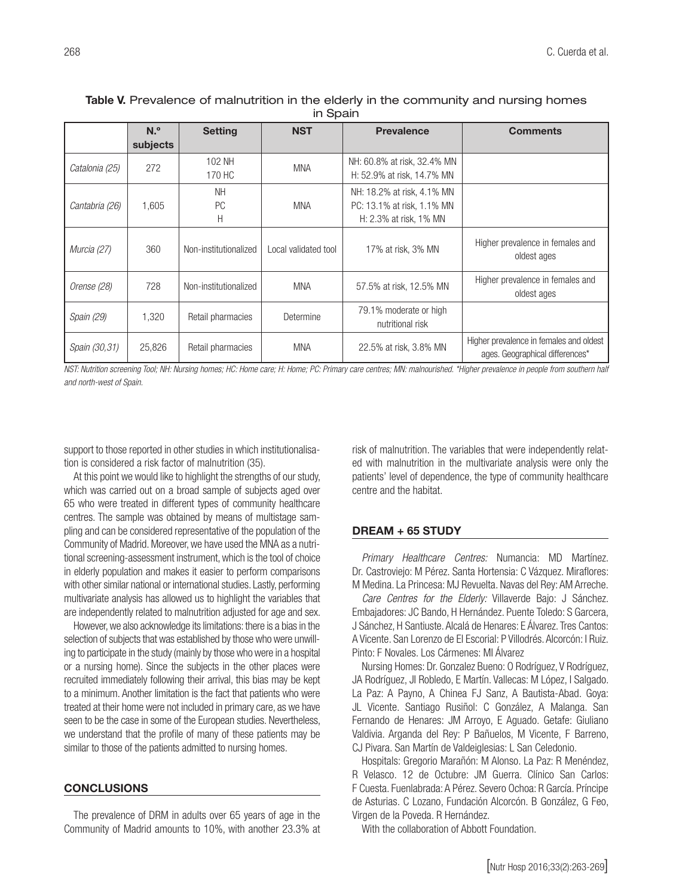| . <u>.</u>     |                             |                             |                      |                                                                                    |                                                                            |  |
|----------------|-----------------------------|-----------------------------|----------------------|------------------------------------------------------------------------------------|----------------------------------------------------------------------------|--|
|                | N. <sup>o</sup><br>subjects | <b>Setting</b>              | <b>NST</b>           | <b>Prevalence</b>                                                                  | <b>Comments</b>                                                            |  |
| Catalonia (25) | 272                         | 102 NH<br>170 HC            | <b>MNA</b>           | NH: 60.8% at risk, 32.4% MN<br>H: 52.9% at risk, 14.7% MN                          |                                                                            |  |
| Cantabria (26) | 1.605                       | <b>NH</b><br><b>PC</b><br>Η | <b>MNA</b>           | NH: 18.2% at risk, 4.1% MN<br>PC: 13.1% at risk, 1.1% MN<br>H: 2.3% at risk, 1% MN |                                                                            |  |
| Murcia (27)    | 360                         | Non-institutionalized       | Local validated tool | 17% at risk, 3% MN                                                                 | Higher prevalence in females and<br>oldest ages                            |  |
| Orense (28)    | 728                         | Non-institutionalized       | <b>MNA</b>           | 57.5% at risk, 12.5% MN                                                            | Higher prevalence in females and<br>oldest ages                            |  |
| Spain (29)     | 1,320                       | Retail pharmacies           | Determine            | 79.1% moderate or high<br>nutritional risk                                         |                                                                            |  |
| Spain (30,31)  | 25,826                      | Retail pharmacies           | <b>MNA</b>           | 22.5% at risk, 3.8% MN                                                             | Higher prevalence in females and oldest<br>ages. Geographical differences* |  |

# Table V. Prevalence of malnutrition in the elderly in the community and nursing homes in Spain

*NST: Nutrition screening Tool; NH: Nursing homes; HC: Home care; H: Home; PC: Primary care centres; MN: malnourished. \*Higher prevalence in people from southern half and north-west of Spain.*

support to those reported in other studies in which institutionalisation is considered a risk factor of malnutrition (35).

At this point we would like to highlight the strengths of our study, which was carried out on a broad sample of subjects aged over 65 who were treated in different types of community healthcare centres. The sample was obtained by means of multistage sampling and can be considered representative of the population of the Community of Madrid. Moreover, we have used the MNA as a nutritional screening-assessment instrument, which is the tool of choice in elderly population and makes it easier to perform comparisons with other similar national or international studies. Lastly, performing multivariate analysis has allowed us to highlight the variables that are independently related to malnutrition adjusted for age and sex.

However, we also acknowledge its limitations: there is a bias in the selection of subjects that was established by those who were unwilling to participate in the study (mainly by those who were in a hospital or a nursing home). Since the subjects in the other places were recruited immediately following their arrival, this bias may be kept to a minimum. Another limitation is the fact that patients who were treated at their home were not included in primary care, as we have seen to be the case in some of the European studies. Nevertheless, we understand that the profile of many of these patients may be similar to those of the patients admitted to nursing homes.

# **CONCLUSIONS**

The prevalence of DRM in adults over 65 years of age in the Community of Madrid amounts to 10%, with another 23.3% at

risk of malnutrition. The variables that were independently related with malnutrition in the multivariate analysis were only the patients' level of dependence, the type of community healthcare centre and the habitat.

#### DREAM + 65 STUDY

*Primary Healthcare Centres:* Numancia: MD Martínez. Dr. Castroviejo: M Pérez. Santa Hortensia: C Vázquez. Miraflores: M Medina. La Princesa: MJ Revuelta. Navas del Rey: AM Arreche.

*Care Centres for the Elderly:* Villaverde Bajo: J Sánchez. Embajadores: JC Bando, H Hernández. Puente Toledo: S Garcera, J Sánchez, H Santiuste. Alcalá de Henares: E Álvarez. Tres Cantos: A Vicente. San Lorenzo de El Escorial: P Villodrés. Alcorcón: I Ruiz. Pinto: F Novales. Los Cármenes: MI Álvarez

Nursing Homes: Dr. Gonzalez Bueno: O Rodríguez, V Rodríguez, JA Rodríguez, JI Robledo, E Martín. Vallecas: M López, I Salgado. La Paz: A Payno, A Chinea FJ Sanz, A Bautista-Abad. Goya: JL Vicente. Santiago Rusiñol: C González, A Malanga. San Fernando de Henares: JM Arroyo, E Aguado. Getafe: Giuliano Valdivia. Arganda del Rey: P Bañuelos, M Vicente, F Barreno, CJ Pivara. San Martín de Valdeiglesias: L San Celedonio.

Hospitals: Gregorio Marañón: M Alonso. La Paz: R Menéndez, R Velasco. 12 de Octubre: JM Guerra. Clínico San Carlos: F Cuesta. Fuenlabrada: A Pérez. Severo Ochoa: R García. Príncipe de Asturias. C Lozano, Fundación Alcorcón. B González, G Feo, Virgen de la Poveda. R Hernández.

With the collaboration of Abbott Foundation